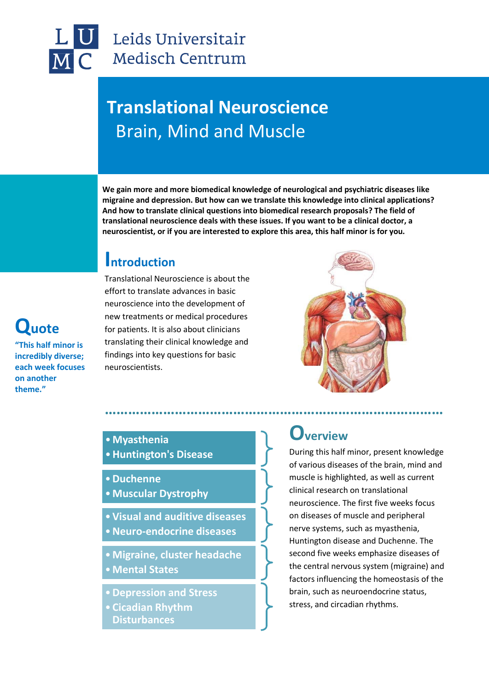### Leids Universitair Medisch Centrum

## **Translational Neuroscience** Brain, Mind and Muscle

**We gain more and more biomedical knowledge of neurological and psychiatric diseases like migraine and depression. But how can we translate this knowledge into clinical applications? And how to translate clinical questions into biomedical research proposals? The field of translational neuroscience deals with these issues. If you want to be a clinical doctor, a neuroscientist, or if you are interested to explore this area, this half minor is for you.**

### **Introduction**

Translational Neuroscience is about the effort to translate advances in basic neuroscience into the development of new treatments or medical procedures for patients. It is also about clinicians translating their clinical knowledge and findings into key questions for basic neuroscientists.



# **Quote**

**"This half minor is incredibly diverse; each week focuses on another theme."**

#### •**Myasthenia**

- •**Huntington's Disease**
- •**Duchenne**
- •**Muscular Dystrophy**
- •**Visual and auditive diseases**
- •**Neuro-endocrine diseases**
- •**Migraine, cluster headache**
- •**Mental States**
- •**Depression and Stress**
- **Cicadian Rhythm Disturbances**

### **Overview**

During this half minor, present knowledge of various diseases of the brain, mind and muscle is highlighted, as well as current clinical research on translational neuroscience. The first five weeks focus on diseases of muscle and peripheral nerve systems, such as myasthenia, Huntington disease and Duchenne. The second five weeks emphasize diseases of the central nervous system (migraine) and factors influencing the homeostasis of the brain, such as neuroendocrine status, stress, and circadian rhythms.